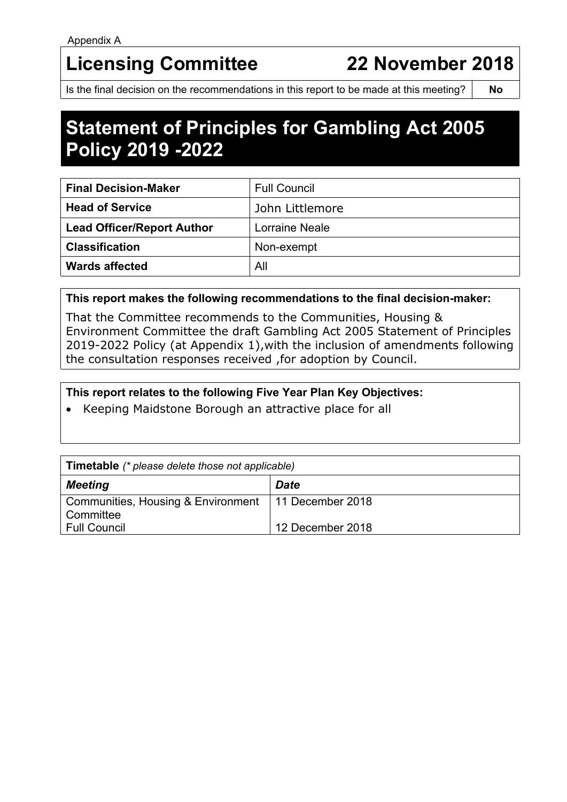# **Licensing Committee 22 November 2018**

Is the final decision on the recommendations in this report to be made at this meeting? **No**

# **Statement of Principles for Gambling Act 2005 Policy 2019 -2022**

| <b>Final Decision-Maker</b>       | <b>Full Council</b>   |
|-----------------------------------|-----------------------|
| <b>Head of Service</b>            | John Littlemore       |
| <b>Lead Officer/Report Author</b> | <b>Lorraine Neale</b> |
| <b>Classification</b>             | Non-exempt            |
| <b>Wards affected</b>             | All                   |

#### **This report makes the following recommendations to the final decision-maker:**

That the Committee recommends to the Communities, Housing & Environment Committee the draft Gambling Act 2005 Statement of Principles 2019-2022 Policy (at Appendix 1),with the inclusion of amendments following the consultation responses received ,for adoption by Council.

# **This report relates to the following Five Year Plan Key Objectives:**

• Keeping Maidstone Borough an attractive place for all

| <b>Timetable</b> (* please delete those not applicable) |                  |  |  |
|---------------------------------------------------------|------------------|--|--|
| <b>Meeting</b>                                          | <b>Date</b>      |  |  |
| Communities, Housing & Environment   11 December 2018   |                  |  |  |
| Committee                                               |                  |  |  |
| Full Council                                            | 12 December 2018 |  |  |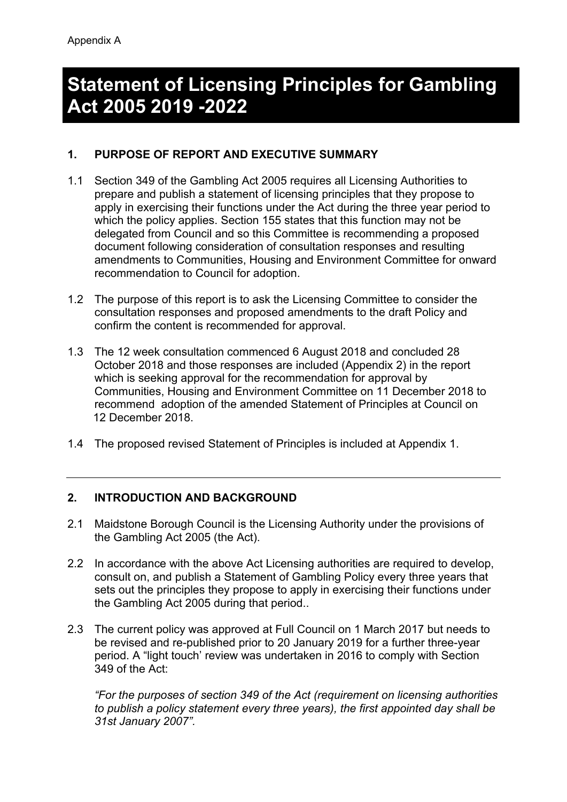# **Statement of Licensing Principles for Gambling Act 2005 2019 -2022**

# **1. PURPOSE OF REPORT AND EXECUTIVE SUMMARY**

- 1.1 Section 349 of the Gambling Act 2005 requires all Licensing Authorities to prepare and publish a statement of licensing principles that they propose to apply in exercising their functions under the Act during the three year period to which the policy applies. Section 155 states that this function may not be delegated from Council and so this Committee is recommending a proposed document following consideration of consultation responses and resulting amendments to Communities, Housing and Environment Committee for onward recommendation to Council for adoption.
- 1.2 The purpose of this report is to ask the Licensing Committee to consider the consultation responses and proposed amendments to the draft Policy and confirm the content is recommended for approval.
- 1.3 The 12 week consultation commenced 6 August 2018 and concluded 28 October 2018 and those responses are included (Appendix 2) in the report which is seeking approval for the recommendation for approval by Communities, Housing and Environment Committee on 11 December 2018 to recommend adoption of the amended Statement of Principles at Council on 12 December 2018.
- 1.4 The proposed revised Statement of Principles is included at Appendix 1.

# **2. INTRODUCTION AND BACKGROUND**

- 2.1 Maidstone Borough Council is the Licensing Authority under the provisions of the Gambling Act 2005 (the Act).
- 2.2 In accordance with the above Act Licensing authorities are required to develop, consult on, and publish a Statement of Gambling Policy every three years that sets out the principles they propose to apply in exercising their functions under the Gambling Act 2005 during that period..
- 2.3 The current policy was approved at Full Council on 1 March 2017 but needs to be revised and re-published prior to 20 January 2019 for a further three-year period. A "light touch' review was undertaken in 2016 to comply with Section 349 of the Act:

*"For the purposes of section 349 of the Act (requirement on licensing authorities to publish a policy statement every three years), the first appointed day shall be 31st January 2007".*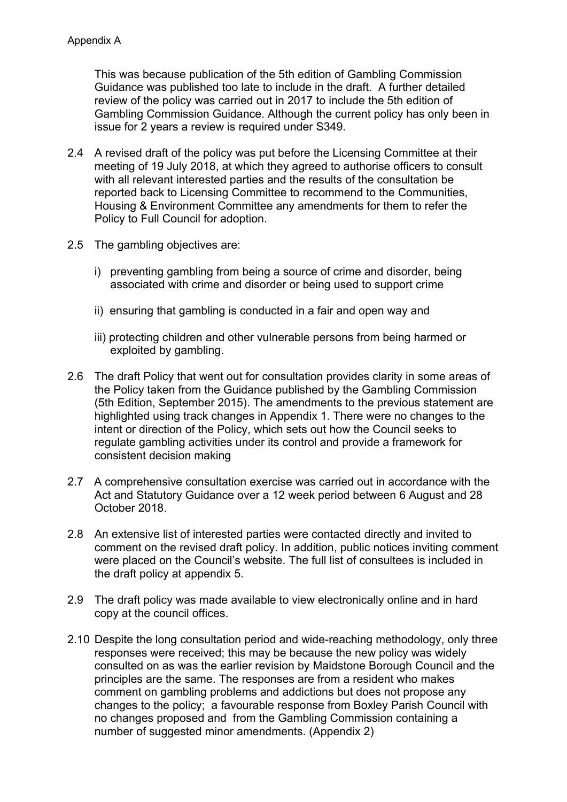This was because publication of the 5th edition of Gambling Commission Guidance was published too late to include in the draft. A further detailed review of the policy was carried out in 2017 to include the 5th edition of Gambling Commission Guidance. Although the current policy has only been in issue for 2 years a review is required under S349.

- 2.4 A revised draft of the policy was put before the Licensing Committee at their meeting of 19 July 2018, at which they agreed to authorise officers to consult with all relevant interested parties and the results of the consultation be reported back to Licensing Committee to recommend to the Communities, Housing & Environment Committee any amendments for them to refer the Policy to Full Council for adoption.
- 2.5 The gambling objectives are:
	- i) preventing gambling from being a source of crime and disorder, being associated with crime and disorder or being used to support crime
	- ii) ensuring that gambling is conducted in a fair and open way and
	- iii) protecting children and other vulnerable persons from being harmed or exploited by gambling.
- 2.6 The draft Policy that went out for consultation provides clarity in some areas of the Policy taken from the Guidance published by the Gambling Commission (5th Edition, September 2015). The amendments to the previous statement are highlighted using track changes in Appendix 1. There were no changes to the intent or direction of the Policy, which sets out how the Council seeks to regulate gambling activities under its control and provide a framework for consistent decision making
- 2.7 A comprehensive consultation exercise was carried out in accordance with the Act and Statutory Guidance over a 12 week period between 6 August and 28 October 2018.
- 2.8 An extensive list of interested parties were contacted directly and invited to comment on the revised draft policy. In addition, public notices inviting comment were placed on the Council's website. The full list of consultees is included in the draft policy at appendix 5.
- 2.9 The draft policy was made available to view electronically online and in hard copy at the council offices.
- 2.10 Despite the long consultation period and wide-reaching methodology, only three responses were received; this may be because the new policy was widely consulted on as was the earlier revision by Maidstone Borough Council and the principles are the same. The responses are from a resident who makes comment on gambling problems and addictions but does not propose any changes to the policy; a favourable response from Boxley Parish Council with no changes proposed and from the Gambling Commission containing a number of suggested minor amendments. (Appendix 2)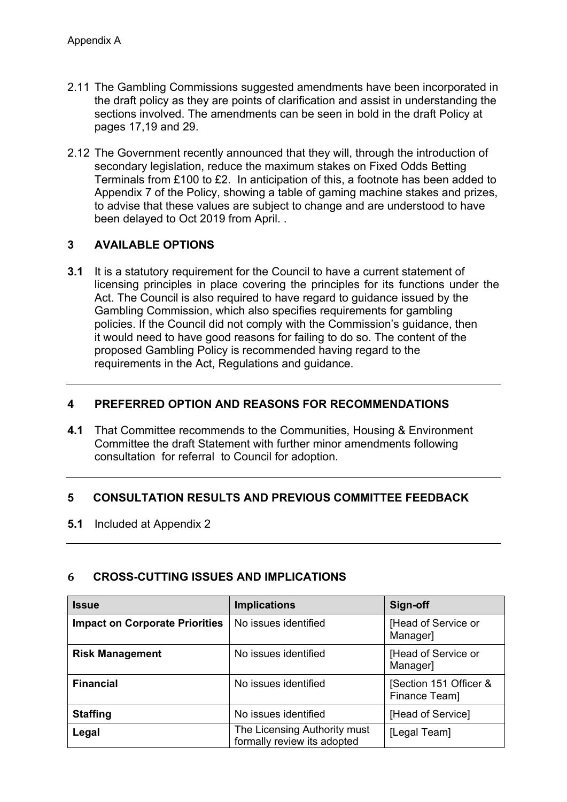- 2.11 The Gambling Commissions suggested amendments have been incorporated in the draft policy as they are points of clarification and assist in understanding the sections involved. The amendments can be seen in bold in the draft Policy at pages 17,19 and 29.
- 2.12 The Government recently announced that they will, through the introduction of secondary legislation, reduce the maximum stakes on Fixed Odds Betting Terminals from £100 to £2. In anticipation of this, a footnote has been added to Appendix 7 of the Policy, showing a table of gaming machine stakes and prizes, to advise that these values are subject to change and are understood to have been delayed to Oct 2019 from April. .

# **3 AVAILABLE OPTIONS**

**3.1** It is a statutory requirement for the Council to have a current statement of licensing principles in place covering the principles for its functions under the Act. The Council is also required to have regard to quidance issued by the Gambling Commission, which also specifies requirements for gambling policies. If the Council did not comply with the Commission's guidance, then it would need to have good reasons for failing to do so. The content of the proposed Gambling Policy is recommended having regard to the requirements in the Act, Regulations and guidance.

#### **4 PREFERRED OPTION AND REASONS FOR RECOMMENDATIONS**

**4.1** That Committee recommends to the Communities, Housing & Environment Committee the draft Statement with further minor amendments following consultation for referral to Council for adoption.

# **5 CONSULTATION RESULTS AND PREVIOUS COMMITTEE FEEDBACK**

**5.1** Included at Appendix 2

# **6 CROSS-CUTTING ISSUES AND IMPLICATIONS**

| <b>Issue</b>                          | <b>Implications</b>                                         | Sign-off                                |
|---------------------------------------|-------------------------------------------------------------|-----------------------------------------|
| <b>Impact on Corporate Priorities</b> | No issues identified                                        | [Head of Service or<br>Manager]         |
| <b>Risk Management</b>                | No issues identified                                        | [Head of Service or<br>Manager]         |
| <b>Financial</b>                      | No issues identified                                        | [Section 151 Officer &<br>Finance Team] |
| <b>Staffing</b>                       | No issues identified                                        | [Head of Service]                       |
| Legal                                 | The Licensing Authority must<br>formally review its adopted | [Legal Team]                            |